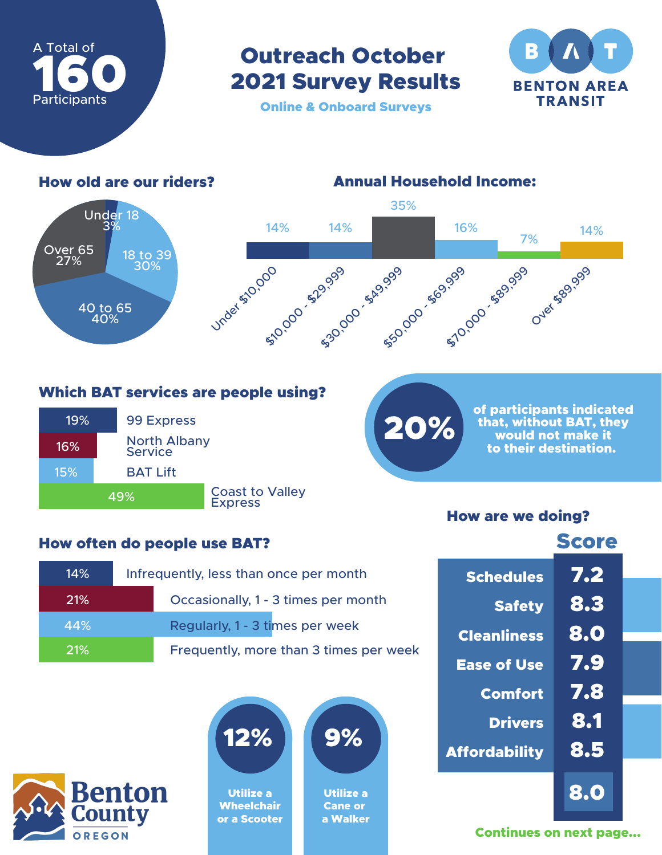

Outreach October 2021 Survey Results



Online & Onboard Surveys



Which BAT services are people using?



## How often do people use BAT?

| 14%        | Infrequently, less than once per month |  |  |
|------------|----------------------------------------|--|--|
| <b>21%</b> | Occasionally, 1 - 3 times per month    |  |  |
| 44%        | Regularly, 1 - 3 times per week        |  |  |
| 21%        | Frequently, more than 3 times per week |  |  |





Utilize a **Wheelchair** or a Scooter

| 9% |  |
|----|--|
|    |  |
|    |  |

Utilize a Cane or a Walker of participants indicated that, without BAT, they would not make it to their destination.

## How are we doing?

20%

|                      | <b>Score</b> |
|----------------------|--------------|
| <b>Schedules</b>     | 7.2          |
| <b>Safety</b>        | 8.3          |
| <b>Cleanliness</b>   | 8.0          |
| <b>Ease of Use</b>   | 7.9          |
| <b>Comfort</b>       | 7.8          |
| <b>Drivers</b>       | 8.1          |
| <b>Affordability</b> | 8.5          |
|                      | 8.0          |

Continues on next page...